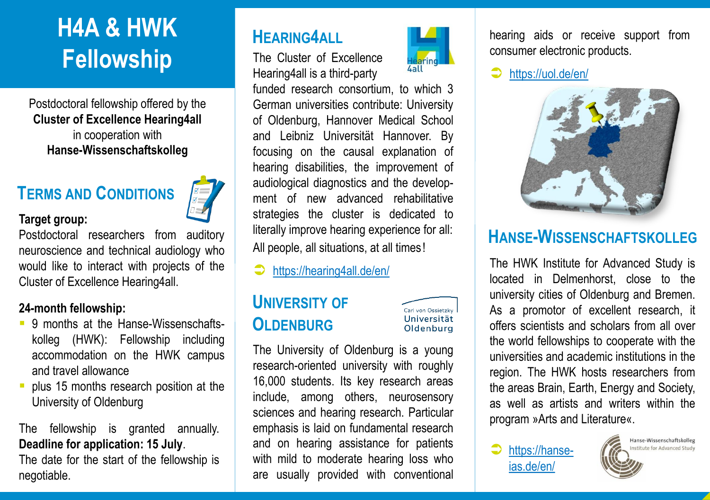# **H4A & HWK Fellowship**

Postdoctoral fellowship offered by the **Cluster of Excellence Hearing4all**  in cooperation with **Hanse-Wissenschaftskolleg**

## **TERMS AND CONDITIONS**

### **Target group:**

Postdoctoral researchers from auditory neuroscience and technical audiology who would like to interact with projects of the Cluster of Excellence Hearing4all.

#### **24-month fellowship:**

- 9 months at the Hanse-Wissenschaftskolleg (HWK): Fellowship including accommodation on the HWK campus and travel allowance
- plus 15 months research position at the University of Oldenburg

## The fellowship is granted annually. **Deadline for application: 15 July**.

The date for the start of the fellowship is negotiable.

## **HEARING4ALL**

The Cluster of Excellence Hearing4all is a third-party

funded research consortium, to which 3 German universities contribute: University of Oldenburg, Hannover Medical School and Leibniz Universität Hannover. By focusing on the causal explanation of hearing disabilities, the improvement of audiological diagnostics and the development of new advanced rehabilitative strategies the cluster is dedicated to literally improve hearing experience for all: All people, all situations, at all times!

<https://hearing4all.de/en/>

## **UNIVERSITY OF OLDENBURG**

Carl von Ossietzky Universität Oldenburg

The University of Oldenburg is a young research-oriented university with roughly 16,000 students. Its key research areas include, among others, neurosensory sciences and hearing research. Particular emphasis is laid on fundamental research and on hearing assistance for patients with mild to moderate hearing loss who are usually provided with conventional

hearing aids or receive support from consumer electronic products.

<https://uol.de/en/>



## **HANSE-WISSENSCHAFTSKOLLEG**

The HWK Institute for Advanced Study is located in Delmenhorst, close to the university cities of Oldenburg and Bremen. As a promotor of excellent research, it offers scientists and scholars from all over the world fellowships to cooperate with the universities and academic institutions in the region. The HWK hosts researchers from the areas Brain, Earth, Energy and Society, as well as artists and writers within the program »Arts and Literature«.

 [https://hanse](https://hanse-ias.de/en/)ias.de/en/